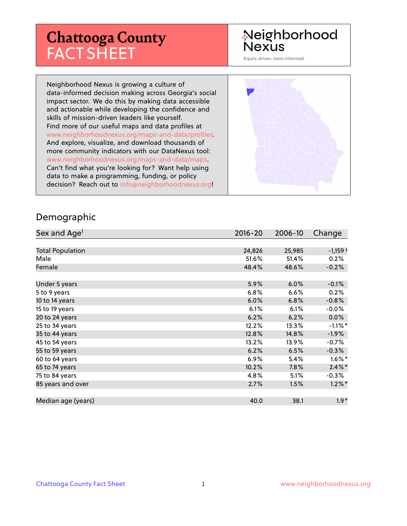# **Chattooga County** FACT SHEET

# Neighborhood **Nexus**

Equity driven. Data informed.

Neighborhood Nexus is growing a culture of data-informed decision making across Georgia's social impact sector. We do this by making data accessible and actionable while developing the confidence and skills of mission-driven leaders like yourself. Find more of our useful maps and data profiles at www.neighborhoodnexus.org/maps-and-data/profiles. And explore, visualize, and download thousands of more community indicators with our DataNexus tool: www.neighborhoodnexus.org/maps-and-data/maps. Can't find what you're looking for? Want help using data to make a programming, funding, or policy decision? Reach out to [info@neighborhoodnexus.org!](mailto:info@neighborhoodnexus.org)



#### Demographic

| Sex and Age <sup>1</sup> | $2016 - 20$ | 2006-10 | Change                |
|--------------------------|-------------|---------|-----------------------|
|                          |             |         |                       |
| <b>Total Population</b>  | 24,826      | 25,985  | $-1,159$ <sup>+</sup> |
| Male                     | 51.6%       | 51.4%   | 0.2%                  |
| Female                   | 48.4%       | 48.6%   | $-0.2%$               |
|                          |             |         |                       |
| Under 5 years            | 5.9%        | 6.0%    | $-0.1%$               |
| 5 to 9 years             | 6.8%        | 6.6%    | 0.2%                  |
| 10 to 14 years           | 6.0%        | 6.8%    | $-0.8%$               |
| 15 to 19 years           | 6.1%        | 6.1%    | $-0.0%$               |
| 20 to 24 years           | 6.2%        | 6.2%    | 0.0%                  |
| 25 to 34 years           | 12.2%       | 13.3%   | $-1.1\%$ *            |
| 35 to 44 years           | 12.8%       | 14.8%   | $-1.9\%$              |
| 45 to 54 years           | 13.2%       | 13.9%   | $-0.7%$               |
| 55 to 59 years           | 6.2%        | 6.5%    | $-0.3%$               |
| 60 to 64 years           | 6.9%        | 5.4%    | $1.6\%$ *             |
| 65 to 74 years           | 10.2%       | 7.8%    | $2.4\%$ *             |
| 75 to 84 years           | 4.8%        | 5.1%    | $-0.3\%$              |
| 85 years and over        | 2.7%        | 1.5%    | $1.2\%$ *             |
|                          |             |         |                       |
| Median age (years)       | 40.0        | 38.1    | $1.9*$                |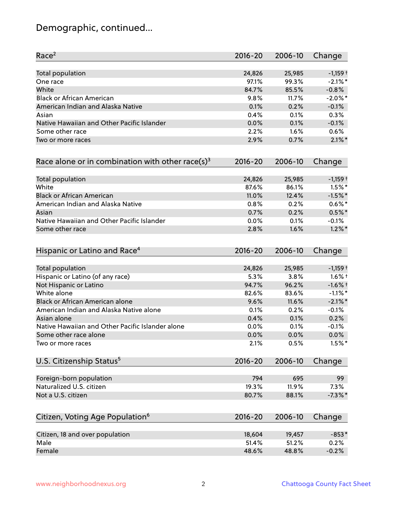# Demographic, continued...

| Total population<br>24,826<br>25,985<br>$-1,159$ <sup>+</sup><br>$-2.1\%$ *<br>97.1%<br>99.3%<br>One race<br>White<br>84.7%<br>85.5%<br>$-0.8%$<br><b>Black or African American</b><br>$-2.0\%$ *<br>9.8%<br>11.7%<br>American Indian and Alaska Native<br>0.1%<br>0.2%<br>$-0.1%$<br>0.4%<br>0.1%<br>0.3%<br>Asian<br>Native Hawaiian and Other Pacific Islander<br>0.0%<br>0.1%<br>$-0.1%$<br>Some other race<br>2.2%<br>1.6%<br>0.6%<br>$2.1\%$ *<br>2.9%<br>0.7%<br>Two or more races<br>Race alone or in combination with other race(s) <sup>3</sup><br>$2016 - 20$<br>2006-10<br>Change<br>Total population<br>24,826<br>25,985<br>$-1,159$ <sup>+</sup><br>White<br>$1.5\%$ *<br>87.6%<br>86.1%<br><b>Black or African American</b><br>$-1.5%$ *<br>11.0%<br>12.4%<br>$0.6\%$ *<br>American Indian and Alaska Native<br>0.8%<br>0.2%<br>0.7%<br>0.2%<br>$0.5%$ *<br>Asian<br>Native Hawaiian and Other Pacific Islander<br>0.0%<br>0.1%<br>$-0.1%$<br>$1.2\%$ *<br>Some other race<br>2.8%<br>1.6%<br>Hispanic or Latino and Race <sup>4</sup><br>$2016 - 20$<br>2006-10<br>Change<br><b>Total population</b><br>24,826<br>25,985<br>$-1,159$ <sup>+</sup><br>5.3%<br>3.8%<br>$1.6\%$ †<br>Hispanic or Latino (of any race)<br>96.2%<br>$-1.6%$ †<br>Not Hispanic or Latino<br>94.7%<br>White alone<br>$-1.1\%$ *<br>82.6%<br>83.6%<br>$-2.1\%$ *<br>Black or African American alone<br>9.6%<br>11.6%<br>American Indian and Alaska Native alone<br>0.1%<br>$-0.1%$<br>0.2%<br>0.2%<br>0.4%<br>0.1%<br>Asian alone<br>Native Hawaiian and Other Pacific Islander alone<br>0.0%<br>0.1%<br>$-0.1%$<br>0.0%<br>0.0%<br>$0.0\%$<br>Some other race alone<br>$1.5%$ *<br>2.1%<br>0.5%<br>Two or more races<br>U.S. Citizenship Status <sup>5</sup><br>$2016 - 20$<br>2006-10<br>Change<br>Foreign-born population<br>794<br>695<br>99<br>Naturalized U.S. citizen<br>19.3%<br>11.9%<br>7.3%<br>Not a U.S. citizen<br>$-7.3\%$ *<br>80.7%<br>88.1%<br>Citizen, Voting Age Population <sup>6</sup><br>$2016 - 20$<br>2006-10<br>Change | Race <sup>2</sup> | $2016 - 20$ | 2006-10 | Change |
|-----------------------------------------------------------------------------------------------------------------------------------------------------------------------------------------------------------------------------------------------------------------------------------------------------------------------------------------------------------------------------------------------------------------------------------------------------------------------------------------------------------------------------------------------------------------------------------------------------------------------------------------------------------------------------------------------------------------------------------------------------------------------------------------------------------------------------------------------------------------------------------------------------------------------------------------------------------------------------------------------------------------------------------------------------------------------------------------------------------------------------------------------------------------------------------------------------------------------------------------------------------------------------------------------------------------------------------------------------------------------------------------------------------------------------------------------------------------------------------------------------------------------------------------------------------------------------------------------------------------------------------------------------------------------------------------------------------------------------------------------------------------------------------------------------------------------------------------------------------------------------------------------------------------------------------------------------------------------------------------------------------------------------------------|-------------------|-------------|---------|--------|
|                                                                                                                                                                                                                                                                                                                                                                                                                                                                                                                                                                                                                                                                                                                                                                                                                                                                                                                                                                                                                                                                                                                                                                                                                                                                                                                                                                                                                                                                                                                                                                                                                                                                                                                                                                                                                                                                                                                                                                                                                                         |                   |             |         |        |
|                                                                                                                                                                                                                                                                                                                                                                                                                                                                                                                                                                                                                                                                                                                                                                                                                                                                                                                                                                                                                                                                                                                                                                                                                                                                                                                                                                                                                                                                                                                                                                                                                                                                                                                                                                                                                                                                                                                                                                                                                                         |                   |             |         |        |
|                                                                                                                                                                                                                                                                                                                                                                                                                                                                                                                                                                                                                                                                                                                                                                                                                                                                                                                                                                                                                                                                                                                                                                                                                                                                                                                                                                                                                                                                                                                                                                                                                                                                                                                                                                                                                                                                                                                                                                                                                                         |                   |             |         |        |
|                                                                                                                                                                                                                                                                                                                                                                                                                                                                                                                                                                                                                                                                                                                                                                                                                                                                                                                                                                                                                                                                                                                                                                                                                                                                                                                                                                                                                                                                                                                                                                                                                                                                                                                                                                                                                                                                                                                                                                                                                                         |                   |             |         |        |
|                                                                                                                                                                                                                                                                                                                                                                                                                                                                                                                                                                                                                                                                                                                                                                                                                                                                                                                                                                                                                                                                                                                                                                                                                                                                                                                                                                                                                                                                                                                                                                                                                                                                                                                                                                                                                                                                                                                                                                                                                                         |                   |             |         |        |
|                                                                                                                                                                                                                                                                                                                                                                                                                                                                                                                                                                                                                                                                                                                                                                                                                                                                                                                                                                                                                                                                                                                                                                                                                                                                                                                                                                                                                                                                                                                                                                                                                                                                                                                                                                                                                                                                                                                                                                                                                                         |                   |             |         |        |
|                                                                                                                                                                                                                                                                                                                                                                                                                                                                                                                                                                                                                                                                                                                                                                                                                                                                                                                                                                                                                                                                                                                                                                                                                                                                                                                                                                                                                                                                                                                                                                                                                                                                                                                                                                                                                                                                                                                                                                                                                                         |                   |             |         |        |
|                                                                                                                                                                                                                                                                                                                                                                                                                                                                                                                                                                                                                                                                                                                                                                                                                                                                                                                                                                                                                                                                                                                                                                                                                                                                                                                                                                                                                                                                                                                                                                                                                                                                                                                                                                                                                                                                                                                                                                                                                                         |                   |             |         |        |
|                                                                                                                                                                                                                                                                                                                                                                                                                                                                                                                                                                                                                                                                                                                                                                                                                                                                                                                                                                                                                                                                                                                                                                                                                                                                                                                                                                                                                                                                                                                                                                                                                                                                                                                                                                                                                                                                                                                                                                                                                                         |                   |             |         |        |
|                                                                                                                                                                                                                                                                                                                                                                                                                                                                                                                                                                                                                                                                                                                                                                                                                                                                                                                                                                                                                                                                                                                                                                                                                                                                                                                                                                                                                                                                                                                                                                                                                                                                                                                                                                                                                                                                                                                                                                                                                                         |                   |             |         |        |
|                                                                                                                                                                                                                                                                                                                                                                                                                                                                                                                                                                                                                                                                                                                                                                                                                                                                                                                                                                                                                                                                                                                                                                                                                                                                                                                                                                                                                                                                                                                                                                                                                                                                                                                                                                                                                                                                                                                                                                                                                                         |                   |             |         |        |
|                                                                                                                                                                                                                                                                                                                                                                                                                                                                                                                                                                                                                                                                                                                                                                                                                                                                                                                                                                                                                                                                                                                                                                                                                                                                                                                                                                                                                                                                                                                                                                                                                                                                                                                                                                                                                                                                                                                                                                                                                                         |                   |             |         |        |
|                                                                                                                                                                                                                                                                                                                                                                                                                                                                                                                                                                                                                                                                                                                                                                                                                                                                                                                                                                                                                                                                                                                                                                                                                                                                                                                                                                                                                                                                                                                                                                                                                                                                                                                                                                                                                                                                                                                                                                                                                                         |                   |             |         |        |
|                                                                                                                                                                                                                                                                                                                                                                                                                                                                                                                                                                                                                                                                                                                                                                                                                                                                                                                                                                                                                                                                                                                                                                                                                                                                                                                                                                                                                                                                                                                                                                                                                                                                                                                                                                                                                                                                                                                                                                                                                                         |                   |             |         |        |
|                                                                                                                                                                                                                                                                                                                                                                                                                                                                                                                                                                                                                                                                                                                                                                                                                                                                                                                                                                                                                                                                                                                                                                                                                                                                                                                                                                                                                                                                                                                                                                                                                                                                                                                                                                                                                                                                                                                                                                                                                                         |                   |             |         |        |
|                                                                                                                                                                                                                                                                                                                                                                                                                                                                                                                                                                                                                                                                                                                                                                                                                                                                                                                                                                                                                                                                                                                                                                                                                                                                                                                                                                                                                                                                                                                                                                                                                                                                                                                                                                                                                                                                                                                                                                                                                                         |                   |             |         |        |
|                                                                                                                                                                                                                                                                                                                                                                                                                                                                                                                                                                                                                                                                                                                                                                                                                                                                                                                                                                                                                                                                                                                                                                                                                                                                                                                                                                                                                                                                                                                                                                                                                                                                                                                                                                                                                                                                                                                                                                                                                                         |                   |             |         |        |
|                                                                                                                                                                                                                                                                                                                                                                                                                                                                                                                                                                                                                                                                                                                                                                                                                                                                                                                                                                                                                                                                                                                                                                                                                                                                                                                                                                                                                                                                                                                                                                                                                                                                                                                                                                                                                                                                                                                                                                                                                                         |                   |             |         |        |
|                                                                                                                                                                                                                                                                                                                                                                                                                                                                                                                                                                                                                                                                                                                                                                                                                                                                                                                                                                                                                                                                                                                                                                                                                                                                                                                                                                                                                                                                                                                                                                                                                                                                                                                                                                                                                                                                                                                                                                                                                                         |                   |             |         |        |
|                                                                                                                                                                                                                                                                                                                                                                                                                                                                                                                                                                                                                                                                                                                                                                                                                                                                                                                                                                                                                                                                                                                                                                                                                                                                                                                                                                                                                                                                                                                                                                                                                                                                                                                                                                                                                                                                                                                                                                                                                                         |                   |             |         |        |
|                                                                                                                                                                                                                                                                                                                                                                                                                                                                                                                                                                                                                                                                                                                                                                                                                                                                                                                                                                                                                                                                                                                                                                                                                                                                                                                                                                                                                                                                                                                                                                                                                                                                                                                                                                                                                                                                                                                                                                                                                                         |                   |             |         |        |
|                                                                                                                                                                                                                                                                                                                                                                                                                                                                                                                                                                                                                                                                                                                                                                                                                                                                                                                                                                                                                                                                                                                                                                                                                                                                                                                                                                                                                                                                                                                                                                                                                                                                                                                                                                                                                                                                                                                                                                                                                                         |                   |             |         |        |
|                                                                                                                                                                                                                                                                                                                                                                                                                                                                                                                                                                                                                                                                                                                                                                                                                                                                                                                                                                                                                                                                                                                                                                                                                                                                                                                                                                                                                                                                                                                                                                                                                                                                                                                                                                                                                                                                                                                                                                                                                                         |                   |             |         |        |
|                                                                                                                                                                                                                                                                                                                                                                                                                                                                                                                                                                                                                                                                                                                                                                                                                                                                                                                                                                                                                                                                                                                                                                                                                                                                                                                                                                                                                                                                                                                                                                                                                                                                                                                                                                                                                                                                                                                                                                                                                                         |                   |             |         |        |
|                                                                                                                                                                                                                                                                                                                                                                                                                                                                                                                                                                                                                                                                                                                                                                                                                                                                                                                                                                                                                                                                                                                                                                                                                                                                                                                                                                                                                                                                                                                                                                                                                                                                                                                                                                                                                                                                                                                                                                                                                                         |                   |             |         |        |
|                                                                                                                                                                                                                                                                                                                                                                                                                                                                                                                                                                                                                                                                                                                                                                                                                                                                                                                                                                                                                                                                                                                                                                                                                                                                                                                                                                                                                                                                                                                                                                                                                                                                                                                                                                                                                                                                                                                                                                                                                                         |                   |             |         |        |
|                                                                                                                                                                                                                                                                                                                                                                                                                                                                                                                                                                                                                                                                                                                                                                                                                                                                                                                                                                                                                                                                                                                                                                                                                                                                                                                                                                                                                                                                                                                                                                                                                                                                                                                                                                                                                                                                                                                                                                                                                                         |                   |             |         |        |
|                                                                                                                                                                                                                                                                                                                                                                                                                                                                                                                                                                                                                                                                                                                                                                                                                                                                                                                                                                                                                                                                                                                                                                                                                                                                                                                                                                                                                                                                                                                                                                                                                                                                                                                                                                                                                                                                                                                                                                                                                                         |                   |             |         |        |
|                                                                                                                                                                                                                                                                                                                                                                                                                                                                                                                                                                                                                                                                                                                                                                                                                                                                                                                                                                                                                                                                                                                                                                                                                                                                                                                                                                                                                                                                                                                                                                                                                                                                                                                                                                                                                                                                                                                                                                                                                                         |                   |             |         |        |
|                                                                                                                                                                                                                                                                                                                                                                                                                                                                                                                                                                                                                                                                                                                                                                                                                                                                                                                                                                                                                                                                                                                                                                                                                                                                                                                                                                                                                                                                                                                                                                                                                                                                                                                                                                                                                                                                                                                                                                                                                                         |                   |             |         |        |
|                                                                                                                                                                                                                                                                                                                                                                                                                                                                                                                                                                                                                                                                                                                                                                                                                                                                                                                                                                                                                                                                                                                                                                                                                                                                                                                                                                                                                                                                                                                                                                                                                                                                                                                                                                                                                                                                                                                                                                                                                                         |                   |             |         |        |
|                                                                                                                                                                                                                                                                                                                                                                                                                                                                                                                                                                                                                                                                                                                                                                                                                                                                                                                                                                                                                                                                                                                                                                                                                                                                                                                                                                                                                                                                                                                                                                                                                                                                                                                                                                                                                                                                                                                                                                                                                                         |                   |             |         |        |
|                                                                                                                                                                                                                                                                                                                                                                                                                                                                                                                                                                                                                                                                                                                                                                                                                                                                                                                                                                                                                                                                                                                                                                                                                                                                                                                                                                                                                                                                                                                                                                                                                                                                                                                                                                                                                                                                                                                                                                                                                                         |                   |             |         |        |
|                                                                                                                                                                                                                                                                                                                                                                                                                                                                                                                                                                                                                                                                                                                                                                                                                                                                                                                                                                                                                                                                                                                                                                                                                                                                                                                                                                                                                                                                                                                                                                                                                                                                                                                                                                                                                                                                                                                                                                                                                                         |                   |             |         |        |
| $-853*$<br>Citizen, 18 and over population<br>18,604<br>19,457                                                                                                                                                                                                                                                                                                                                                                                                                                                                                                                                                                                                                                                                                                                                                                                                                                                                                                                                                                                                                                                                                                                                                                                                                                                                                                                                                                                                                                                                                                                                                                                                                                                                                                                                                                                                                                                                                                                                                                          |                   |             |         |        |
| 51.4%<br>Male<br>51.2%<br>0.2%                                                                                                                                                                                                                                                                                                                                                                                                                                                                                                                                                                                                                                                                                                                                                                                                                                                                                                                                                                                                                                                                                                                                                                                                                                                                                                                                                                                                                                                                                                                                                                                                                                                                                                                                                                                                                                                                                                                                                                                                          |                   |             |         |        |
| $-0.2%$<br>Female<br>48.6%<br>48.8%                                                                                                                                                                                                                                                                                                                                                                                                                                                                                                                                                                                                                                                                                                                                                                                                                                                                                                                                                                                                                                                                                                                                                                                                                                                                                                                                                                                                                                                                                                                                                                                                                                                                                                                                                                                                                                                                                                                                                                                                     |                   |             |         |        |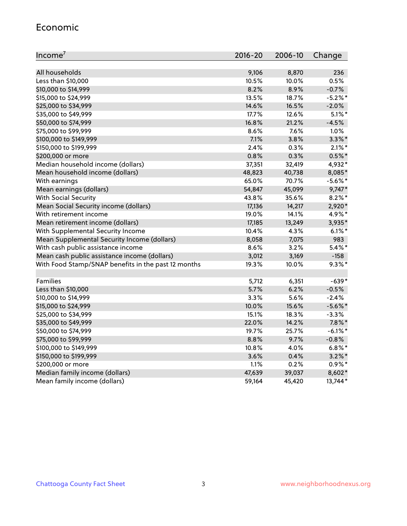#### Economic

| Income <sup>7</sup>                                 | $2016 - 20$ | 2006-10 | Change     |
|-----------------------------------------------------|-------------|---------|------------|
|                                                     |             |         |            |
| All households                                      | 9,106       | 8,870   | 236        |
| Less than \$10,000                                  | 10.5%       | 10.0%   | 0.5%       |
| \$10,000 to \$14,999                                | 8.2%        | 8.9%    | $-0.7%$    |
| \$15,000 to \$24,999                                | 13.5%       | 18.7%   | $-5.2%$    |
| \$25,000 to \$34,999                                | 14.6%       | 16.5%   | $-2.0%$    |
| \$35,000 to \$49,999                                | 17.7%       | 12.6%   | $5.1\%$ *  |
| \$50,000 to \$74,999                                | 16.8%       | 21.2%   | $-4.5%$    |
| \$75,000 to \$99,999                                | $8.6\%$     | 7.6%    | 1.0%       |
| \$100,000 to \$149,999                              | 7.1%        | 3.8%    | $3.3\%$ *  |
| \$150,000 to \$199,999                              | 2.4%        | 0.3%    | $2.1\%$ *  |
| \$200,000 or more                                   | 0.8%        | 0.3%    | $0.5%$ *   |
| Median household income (dollars)                   | 37,351      | 32,419  | 4,932*     |
| Mean household income (dollars)                     | 48,823      | 40,738  | 8,085*     |
| With earnings                                       | 65.0%       | 70.7%   | $-5.6\%$ * |
| Mean earnings (dollars)                             | 54,847      | 45,099  | $9,747*$   |
| <b>With Social Security</b>                         | 43.8%       | 35.6%   | $8.2\%$ *  |
| Mean Social Security income (dollars)               | 17,136      | 14,217  | 2,920*     |
| With retirement income                              | 19.0%       | 14.1%   | 4.9%*      |
| Mean retirement income (dollars)                    | 17,185      | 13,249  | 3,935*     |
| With Supplemental Security Income                   | 10.4%       | 4.3%    | $6.1\%$ *  |
| Mean Supplemental Security Income (dollars)         | 8,058       | 7,075   | 983        |
| With cash public assistance income                  | 8.6%        | 3.2%    | $5.4\%$ *  |
| Mean cash public assistance income (dollars)        | 3,012       | 3,169   | $-158$     |
| With Food Stamp/SNAP benefits in the past 12 months | 19.3%       | 10.0%   | $9.3\%$ *  |
|                                                     |             |         |            |
| Families                                            | 5,712       | 6,351   | $-639*$    |
| Less than \$10,000                                  | 5.7%        | 6.2%    | $-0.5%$    |
| \$10,000 to \$14,999                                | 3.3%        | 5.6%    | $-2.4%$    |
| \$15,000 to \$24,999                                | 10.0%       | 15.6%   | $-5.6\%$ * |
| \$25,000 to \$34,999                                | 15.1%       | 18.3%   | $-3.3%$    |
| \$35,000 to \$49,999                                | 22.0%       | 14.2%   | $7.8\%$ *  |
| \$50,000 to \$74,999                                | 19.7%       | 25.7%   | $-6.1\%$ * |
| \$75,000 to \$99,999                                | 8.8%        | 9.7%    | $-0.8%$    |
| \$100,000 to \$149,999                              | 10.8%       | 4.0%    | $6.8\%$ *  |
| \$150,000 to \$199,999                              | 3.6%        | 0.4%    | $3.2\%$ *  |
| \$200,000 or more                                   | 1.1%        | 0.2%    | $0.9\%$ *  |
| Median family income (dollars)                      | 47,639      | 39,037  | 8,602*     |
| Mean family income (dollars)                        | 59,164      | 45,420  | 13,744*    |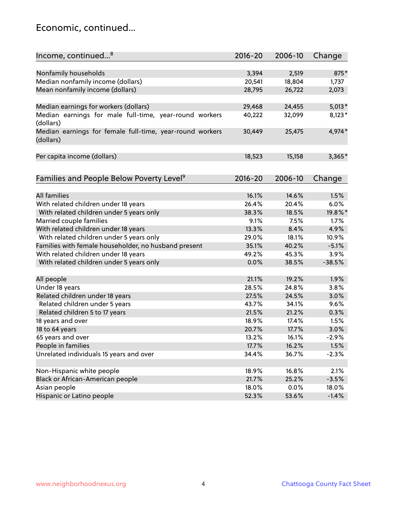### Economic, continued...

| Income, continued <sup>8</sup>                                        | $2016 - 20$ | 2006-10 | Change   |
|-----------------------------------------------------------------------|-------------|---------|----------|
|                                                                       |             |         |          |
| Nonfamily households                                                  | 3,394       | 2,519   | 875*     |
| Median nonfamily income (dollars)                                     | 20,541      | 18,804  | 1,737    |
| Mean nonfamily income (dollars)                                       | 28,795      | 26,722  | 2,073    |
| Median earnings for workers (dollars)                                 | 29,468      | 24,455  | $5,013*$ |
| Median earnings for male full-time, year-round workers                | 40,222      | 32,099  | $8,123*$ |
| (dollars)                                                             |             |         |          |
| Median earnings for female full-time, year-round workers<br>(dollars) | 30,449      | 25,475  | 4,974*   |
| Per capita income (dollars)                                           | 18,523      | 15,158  | $3,365*$ |
|                                                                       |             |         |          |
| Families and People Below Poverty Level <sup>9</sup>                  | 2016-20     | 2006-10 | Change   |
|                                                                       |             |         |          |
| <b>All families</b>                                                   | 16.1%       | 14.6%   | 1.5%     |
| With related children under 18 years                                  | 26.4%       | 20.4%   | 6.0%     |
| With related children under 5 years only                              | 38.3%       | 18.5%   | 19.8%*   |
| Married couple families                                               | 9.1%        | 7.5%    | 1.7%     |
| With related children under 18 years                                  | 13.3%       | 8.4%    | 4.9%     |
| With related children under 5 years only                              | 29.0%       | 18.1%   | 10.9%    |
| Families with female householder, no husband present                  | 35.1%       | 40.2%   | $-5.1%$  |
| With related children under 18 years                                  | 49.2%       | 45.3%   | 3.9%     |
| With related children under 5 years only                              | 0.0%        | 38.5%   | $-38.5%$ |
| All people                                                            | 21.1%       | 19.2%   | 1.9%     |
| Under 18 years                                                        | 28.5%       | 24.8%   | 3.8%     |
| Related children under 18 years                                       | 27.5%       | 24.5%   | 3.0%     |
| Related children under 5 years                                        | 43.7%       | 34.1%   | 9.6%     |
| Related children 5 to 17 years                                        | 21.5%       | 21.2%   | 0.3%     |
| 18 years and over                                                     | 18.9%       | 17.4%   | 1.5%     |
| 18 to 64 years                                                        | 20.7%       | 17.7%   | 3.0%     |
| 65 years and over                                                     | 13.2%       | 16.1%   | $-2.9%$  |
| People in families                                                    | 17.7%       | 16.2%   | 1.5%     |
| Unrelated individuals 15 years and over                               | 34.4%       | 36.7%   | $-2.3%$  |
|                                                                       |             |         |          |
| Non-Hispanic white people                                             | 18.9%       | 16.8%   | 2.1%     |
| Black or African-American people                                      | 21.7%       | 25.2%   | $-3.5%$  |
| Asian people                                                          | 18.0%       | 0.0%    | 18.0%    |
| Hispanic or Latino people                                             | 52.3%       | 53.6%   | $-1.4%$  |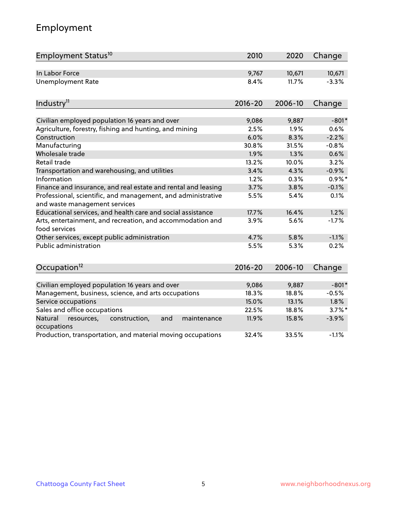# Employment

| Employment Status <sup>10</sup>                                                               | 2010        | 2020    | Change    |
|-----------------------------------------------------------------------------------------------|-------------|---------|-----------|
| In Labor Force                                                                                | 9,767       | 10,671  | 10,671    |
| <b>Unemployment Rate</b>                                                                      | 8.4%        | 11.7%   | $-3.3%$   |
| Industry <sup>11</sup>                                                                        | $2016 - 20$ | 2006-10 | Change    |
|                                                                                               |             |         |           |
| Civilian employed population 16 years and over                                                | 9,086       | 9,887   | $-801*$   |
| Agriculture, forestry, fishing and hunting, and mining                                        | 2.5%        | 1.9%    | 0.6%      |
| Construction                                                                                  | 6.0%        | 8.3%    | $-2.2%$   |
| Manufacturing                                                                                 | 30.8%       | 31.5%   | $-0.8%$   |
| Wholesale trade                                                                               | 1.9%        | 1.3%    | 0.6%      |
| Retail trade                                                                                  | 13.2%       | 10.0%   | 3.2%      |
| Transportation and warehousing, and utilities                                                 | 3.4%        | 4.3%    | $-0.9%$   |
| Information                                                                                   | 1.2%        | 0.3%    | $0.9\%$ * |
| Finance and insurance, and real estate and rental and leasing                                 | 3.7%        | 3.8%    | $-0.1%$   |
| Professional, scientific, and management, and administrative<br>and waste management services | 5.5%        | 5.4%    | 0.1%      |
| Educational services, and health care and social assistance                                   | 17.7%       | 16.4%   | 1.2%      |
| Arts, entertainment, and recreation, and accommodation and<br>food services                   | 3.9%        | 5.6%    | $-1.7%$   |
| Other services, except public administration                                                  | 4.7%        | 5.8%    | $-1.1%$   |
| Public administration                                                                         | 5.5%        | 5.3%    | 0.2%      |
| Occupation <sup>12</sup>                                                                      | $2016 - 20$ | 2006-10 | Change    |
|                                                                                               |             |         |           |
| Civilian employed population 16 years and over                                                | 9,086       | 9,887   | $-801*$   |
| Management, business, science, and arts occupations                                           | 18.3%       | 18.8%   | $-0.5%$   |
| Service occupations                                                                           | 15.0%       | 13.1%   | 1.8%      |
| Sales and office occupations                                                                  | 22.5%       | 18.8%   | $3.7\%$ * |
| and<br>Natural<br>resources,<br>construction,<br>maintenance<br>occupations                   | 11.9%       | 15.8%   | $-3.9%$   |
| Production, transportation, and material moving occupations                                   | 32.4%       | 33.5%   | $-1.1%$   |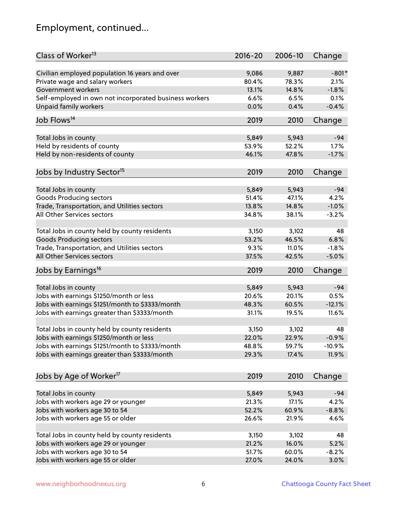# Employment, continued...

| Class of Worker <sup>13</sup>                          | $2016 - 20$ | 2006-10 | Change    |
|--------------------------------------------------------|-------------|---------|-----------|
| Civilian employed population 16 years and over         | 9,086       | 9,887   | $-801*$   |
| Private wage and salary workers                        | 80.4%       | 78.3%   | 2.1%      |
| Government workers                                     | 13.1%       | 14.8%   | $-1.8%$   |
| Self-employed in own not incorporated business workers | 6.6%        | 6.5%    | 0.1%      |
| Unpaid family workers                                  | 0.0%        | 0.4%    | $-0.4%$   |
| Job Flows <sup>14</sup>                                | 2019        | 2010    | Change    |
| Total Jobs in county                                   | 5,849       | 5,943   | $-94$     |
| Held by residents of county                            | 53.9%       | 52.2%   | 1.7%      |
| Held by non-residents of county                        | 46.1%       | 47.8%   | $-1.7%$   |
|                                                        |             |         |           |
| Jobs by Industry Sector <sup>15</sup>                  | 2019        | 2010    | Change    |
| Total Jobs in county                                   | 5,849       | 5,943   | $-94$     |
| <b>Goods Producing sectors</b>                         | 51.4%       | 47.1%   | 4.2%      |
| Trade, Transportation, and Utilities sectors           | 13.8%       | 14.8%   | $-1.0%$   |
| All Other Services sectors                             | 34.8%       | 38.1%   | $-3.2%$   |
|                                                        |             |         |           |
| Total Jobs in county held by county residents          | 3,150       | 3,102   | 48        |
| <b>Goods Producing sectors</b>                         | 53.2%       | 46.5%   | 6.8%      |
| Trade, Transportation, and Utilities sectors           | 9.3%        | 11.0%   | $-1.8%$   |
| All Other Services sectors                             | 37.5%       | 42.5%   | $-5.0%$   |
| Jobs by Earnings <sup>16</sup>                         | 2019        | 2010    | Change    |
| Total Jobs in county                                   | 5,849       | 5,943   | $-94$     |
| Jobs with earnings \$1250/month or less                | 20.6%       | 20.1%   | 0.5%      |
| Jobs with earnings \$1251/month to \$3333/month        | 48.3%       | 60.5%   | $-12.1%$  |
| Jobs with earnings greater than \$3333/month           | 31.1%       | 19.5%   | 11.6%     |
|                                                        |             |         |           |
| Total Jobs in county held by county residents          | 3,150       | 3,102   | 48        |
| Jobs with earnings \$1250/month or less                | 22.0%       | 22.9%   | $-0.9%$   |
| Jobs with earnings \$1251/month to \$3333/month        | 48.8%       | 59.7%   | $-10.9\%$ |
| Jobs with earnings greater than \$3333/month           | 29.3%       | 17.4%   | 11.9%     |
| Jobs by Age of Worker <sup>17</sup>                    | 2019        | 2010    | Change    |
|                                                        |             |         |           |
| Total Jobs in county                                   | 5,849       | 5,943   | $-94$     |
| Jobs with workers age 29 or younger                    | 21.3%       | 17.1%   | 4.2%      |
| Jobs with workers age 30 to 54                         | 52.2%       | 60.9%   | $-8.8%$   |
| Jobs with workers age 55 or older                      | 26.6%       | 21.9%   | 4.6%      |
| Total Jobs in county held by county residents          | 3,150       | 3,102   | 48        |
| Jobs with workers age 29 or younger                    | 21.2%       | 16.0%   | 5.2%      |
| Jobs with workers age 30 to 54                         | 51.7%       | 60.0%   | $-8.2%$   |
|                                                        | 27.0%       | 24.0%   |           |
| Jobs with workers age 55 or older                      |             |         | 3.0%      |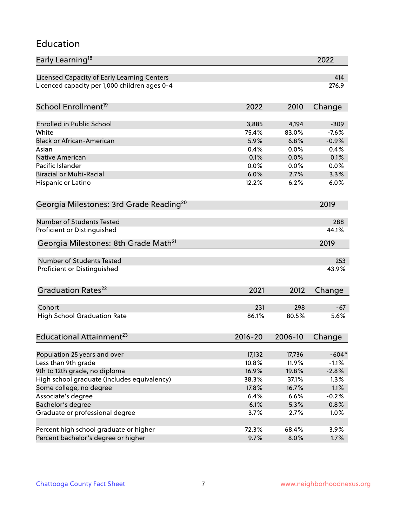#### Education

| Early Learning <sup>18</sup>                        |             |         | 2022    |
|-----------------------------------------------------|-------------|---------|---------|
| Licensed Capacity of Early Learning Centers         |             |         | 414     |
| Licenced capacity per 1,000 children ages 0-4       |             |         | 276.9   |
|                                                     |             |         |         |
| School Enrollment <sup>19</sup>                     | 2022        | 2010    | Change  |
| <b>Enrolled in Public School</b>                    | 3,885       | 4,194   | $-309$  |
| White                                               | 75.4%       | 83.0%   | $-7.6%$ |
| <b>Black or African-American</b>                    | 5.9%        | 6.8%    | $-0.9%$ |
| Asian                                               | 0.4%        | 0.0%    | 0.4%    |
| Native American                                     | 0.1%        | 0.0%    | 0.1%    |
| Pacific Islander                                    | 0.0%        | 0.0%    | 0.0%    |
| <b>Biracial or Multi-Racial</b>                     | 6.0%        | 2.7%    | 3.3%    |
| Hispanic or Latino                                  | 12.2%       | 6.2%    | 6.0%    |
|                                                     |             |         |         |
| Georgia Milestones: 3rd Grade Reading <sup>20</sup> |             |         | 2019    |
|                                                     |             |         |         |
| <b>Number of Students Tested</b>                    |             |         | 288     |
| Proficient or Distinguished                         |             |         | 44.1%   |
| Georgia Milestones: 8th Grade Math <sup>21</sup>    |             |         | 2019    |
| <b>Number of Students Tested</b>                    |             |         | 253     |
| Proficient or Distinguished                         |             |         | 43.9%   |
|                                                     |             |         |         |
| Graduation Rates <sup>22</sup>                      | 2021        | 2012    | Change  |
|                                                     |             |         |         |
| Cohort                                              | 231         | 298     | $-67$   |
| <b>High School Graduation Rate</b>                  | 86.1%       | 80.5%   | 5.6%    |
| Educational Attainment <sup>23</sup>                | $2016 - 20$ | 2006-10 | Change  |
|                                                     |             |         |         |
| Population 25 years and over                        | 17,132      | 17,736  | $-604*$ |
| Less than 9th grade                                 | 10.8%       | 11.9%   | $-1.1%$ |
| 9th to 12th grade, no diploma                       | 16.9%       | 19.8%   | $-2.8%$ |
| High school graduate (includes equivalency)         | 38.3%       | 37.1%   | 1.3%    |
| Some college, no degree                             | 17.8%       | 16.7%   | 1.1%    |
| Associate's degree                                  | 6.4%        | 6.6%    | $-0.2%$ |
| Bachelor's degree                                   | 6.1%        | 5.3%    | 0.8%    |
| Graduate or professional degree                     | 3.7%        | 2.7%    | 1.0%    |
|                                                     |             |         |         |
| Percent high school graduate or higher              | 72.3%       | 68.4%   | 3.9%    |
| Percent bachelor's degree or higher                 | 9.7%        | 8.0%    | 1.7%    |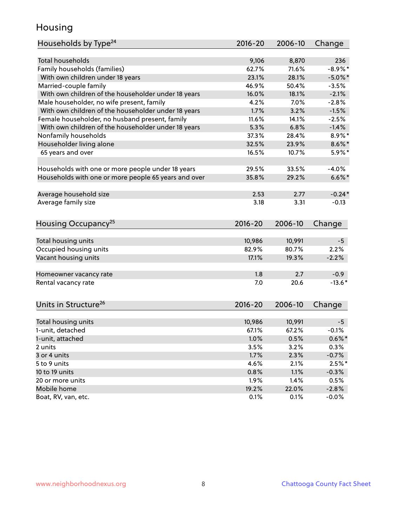### Housing

| Households by Type <sup>24</sup>                     | 2016-20     | 2006-10 | Change     |
|------------------------------------------------------|-------------|---------|------------|
|                                                      |             |         |            |
| <b>Total households</b>                              | 9,106       | 8,870   | 236        |
| Family households (families)                         | 62.7%       | 71.6%   | $-8.9\%$ * |
| With own children under 18 years                     | 23.1%       | 28.1%   | $-5.0\%$ * |
| Married-couple family                                | 46.9%       | 50.4%   | $-3.5%$    |
| With own children of the householder under 18 years  | 16.0%       | 18.1%   | $-2.1%$    |
| Male householder, no wife present, family            | 4.2%        | 7.0%    | $-2.8%$    |
| With own children of the householder under 18 years  | 1.7%        | 3.2%    | $-1.5%$    |
| Female householder, no husband present, family       | 11.6%       | 14.1%   | $-2.5%$    |
| With own children of the householder under 18 years  | 5.3%        | 6.8%    | $-1.4%$    |
| Nonfamily households                                 | 37.3%       | 28.4%   | $8.9\%$ *  |
| Householder living alone                             | 32.5%       | 23.9%   | $8.6\%$ *  |
| 65 years and over                                    | 16.5%       | 10.7%   | $5.9\%$ *  |
| Households with one or more people under 18 years    | 29.5%       | 33.5%   | $-4.0%$    |
| Households with one or more people 65 years and over | 35.8%       | 29.2%   | $6.6\%$ *  |
|                                                      |             |         |            |
| Average household size                               | 2.53        | 2.77    | $-0.24*$   |
| Average family size                                  | 3.18        | 3.31    | $-0.13$    |
| Housing Occupancy <sup>25</sup>                      | $2016 - 20$ | 2006-10 | Change     |
|                                                      |             |         |            |
| Total housing units                                  | 10,986      | 10,991  | $-5$       |
| Occupied housing units                               | 82.9%       | 80.7%   | 2.2%       |
| Vacant housing units                                 | 17.1%       | 19.3%   | $-2.2%$    |
| Homeowner vacancy rate                               | 1.8         | 2.7     | $-0.9$     |
| Rental vacancy rate                                  | 7.0         | 20.6    | $-13.6*$   |
|                                                      |             |         |            |
| Units in Structure <sup>26</sup>                     | $2016 - 20$ | 2006-10 | Change     |
| Total housing units                                  | 10,986      | 10,991  | $-5$       |
| 1-unit, detached                                     | 67.1%       | 67.2%   | $-0.1%$    |
| 1-unit, attached                                     | 1.0%        | 0.5%    | $0.6\%$ *  |
| 2 units                                              | 3.5%        | 3.2%    | 0.3%       |
| 3 or 4 units                                         | 1.7%        | 2.3%    | $-0.7%$    |
|                                                      |             |         |            |
| 5 to 9 units                                         | 4.6%        | 2.1%    | $2.5%$ *   |
| 10 to 19 units                                       | 0.8%        | 1.1%    | $-0.3%$    |
| 20 or more units                                     | 1.9%        | 1.4%    | 0.5%       |
| Mobile home                                          | 19.2%       | 22.0%   | $-2.8%$    |
| Boat, RV, van, etc.                                  | 0.1%        | 0.1%    | $-0.0\%$   |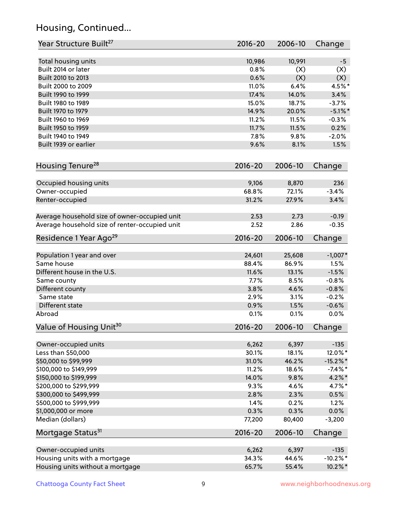# Housing, Continued...

| Year Structure Built <sup>27</sup>             | 2016-20     | 2006-10 | Change      |
|------------------------------------------------|-------------|---------|-------------|
| Total housing units                            | 10,986      | 10,991  | $-5$        |
| Built 2014 or later                            | 0.8%        | (X)     | (X)         |
| Built 2010 to 2013                             | 0.6%        | (X)     | (X)         |
| Built 2000 to 2009                             | 11.0%       | 6.4%    | 4.5%*       |
| Built 1990 to 1999                             | 17.4%       | 14.0%   | 3.4%        |
| Built 1980 to 1989                             | 15.0%       | 18.7%   | $-3.7%$     |
| Built 1970 to 1979                             | 14.9%       | 20.0%   | $-5.1\%$ *  |
| Built 1960 to 1969                             | 11.2%       | 11.5%   | $-0.3%$     |
| Built 1950 to 1959                             | 11.7%       | 11.5%   | 0.2%        |
| Built 1940 to 1949                             | 7.8%        | 9.8%    | $-2.0%$     |
| Built 1939 or earlier                          | 9.6%        | 8.1%    | 1.5%        |
| Housing Tenure <sup>28</sup>                   | $2016 - 20$ | 2006-10 | Change      |
|                                                |             |         |             |
| Occupied housing units                         | 9,106       | 8,870   | 236         |
| Owner-occupied                                 | 68.8%       | 72.1%   | $-3.4%$     |
| Renter-occupied                                | 31.2%       | 27.9%   | 3.4%        |
| Average household size of owner-occupied unit  | 2.53        | 2.73    | $-0.19$     |
| Average household size of renter-occupied unit | 2.52        | 2.86    | $-0.35$     |
| Residence 1 Year Ago <sup>29</sup>             | 2016-20     | 2006-10 | Change      |
|                                                |             |         |             |
| Population 1 year and over<br>Same house       | 24,601      | 25,608  | $-1,007*$   |
|                                                | 88.4%       | 86.9%   | 1.5%        |
| Different house in the U.S.                    | 11.6%       | 13.1%   | $-1.5%$     |
| Same county                                    | 7.7%        | 8.5%    | $-0.8%$     |
| Different county                               | 3.8%        | 4.6%    | $-0.8%$     |
| Same state                                     | 2.9%        | 3.1%    | $-0.2%$     |
| Different state                                | 0.9%        | 1.5%    | $-0.6%$     |
| Abroad                                         | 0.1%        | 0.1%    | 0.0%        |
| Value of Housing Unit <sup>30</sup>            | $2016 - 20$ | 2006-10 | Change      |
| Owner-occupied units                           | 6,262       | 6,397   | $-135$      |
| Less than \$50,000                             | 30.1%       | 18.1%   | 12.0%*      |
| \$50,000 to \$99,999                           | 31.0%       | 46.2%   | $-15.2\%$ * |
| \$100,000 to \$149,999                         | 11.2%       | 18.6%   | $-7.4%$ *   |
| \$150,000 to \$199,999                         | 14.0%       | 9.8%    | $4.2\%$ *   |
| \$200,000 to \$299,999                         | 9.3%        | 4.6%    | 4.7%*       |
| \$300,000 to \$499,999                         | 2.8%        | 2.3%    | 0.5%        |
| \$500,000 to \$999,999                         | 1.4%        | 0.2%    | 1.2%        |
| \$1,000,000 or more                            | 0.3%        | 0.3%    | $0.0\%$     |
| Median (dollars)                               | 77,200      | 80,400  | $-3,200$    |
| Mortgage Status <sup>31</sup>                  | 2016-20     | 2006-10 | Change      |
|                                                |             |         |             |
| Owner-occupied units                           | 6,262       | 6,397   | $-135$      |
| Housing units with a mortgage                  | 34.3%       | 44.6%   | $-10.2\%$ * |
| Housing units without a mortgage               | 65.7%       | 55.4%   | 10.2%*      |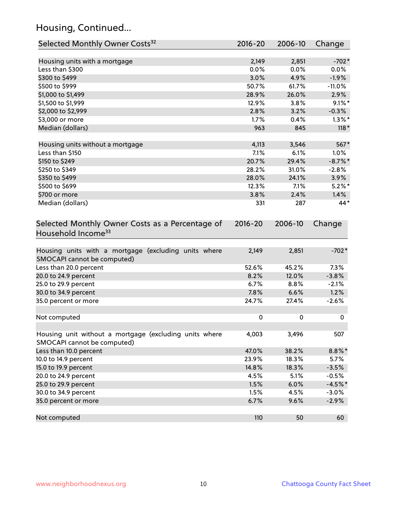# Housing, Continued...

| Selected Monthly Owner Costs <sup>32</sup>                                            | 2016-20     | 2006-10 | Change     |
|---------------------------------------------------------------------------------------|-------------|---------|------------|
| Housing units with a mortgage                                                         | 2,149       | 2,851   | $-702*$    |
| Less than \$300                                                                       | 0.0%        | 0.0%    | 0.0%       |
| \$300 to \$499                                                                        | 3.0%        | 4.9%    | $-1.9%$    |
| \$500 to \$999                                                                        | 50.7%       | 61.7%   | $-11.0%$   |
| \$1,000 to \$1,499                                                                    | 28.9%       | 26.0%   | 2.9%       |
| \$1,500 to \$1,999                                                                    | 12.9%       | 3.8%    | $9.1\%$ *  |
| \$2,000 to \$2,999                                                                    | 2.8%        | 3.2%    | $-0.3%$    |
| \$3,000 or more                                                                       | 1.7%        | 0.4%    | $1.3\%$ *  |
| Median (dollars)                                                                      | 963         | 845     | $118*$     |
| Housing units without a mortgage                                                      | 4,113       | 3,546   | 567*       |
| Less than \$150                                                                       | 7.1%        | 6.1%    | $1.0\%$    |
| \$150 to \$249                                                                        | 20.7%       | 29.4%   | $-8.7\%$ * |
| \$250 to \$349                                                                        | 28.2%       | 31.0%   | $-2.8%$    |
| \$350 to \$499                                                                        | 28.0%       | 24.1%   | 3.9%       |
| \$500 to \$699                                                                        | 12.3%       | 7.1%    | $5.2\%$ *  |
| \$700 or more                                                                         | 3.8%        | 2.4%    | 1.4%       |
| Median (dollars)                                                                      | 331         | 287     | 44*        |
| Selected Monthly Owner Costs as a Percentage of<br>Household Income <sup>33</sup>     | $2016 - 20$ | 2006-10 | Change     |
| Housing units with a mortgage (excluding units where<br>SMOCAPI cannot be computed)   | 2,149       | 2,851   | $-702*$    |
| Less than 20.0 percent                                                                | 52.6%       | 45.2%   | 7.3%       |
| 20.0 to 24.9 percent                                                                  | 8.2%        | 12.0%   | $-3.8%$    |
| 25.0 to 29.9 percent                                                                  | 6.7%        | 8.8%    | $-2.1%$    |
| 30.0 to 34.9 percent                                                                  | 7.8%        | 6.6%    | 1.2%       |
| 35.0 percent or more                                                                  | 24.7%       | 27.4%   | $-2.6%$    |
| Not computed                                                                          | $\pmb{0}$   | 0       | 0          |
| Housing unit without a mortgage (excluding units where<br>SMOCAPI cannot be computed) | 4,003       | 3,496   | 507        |
| Less than 10.0 percent                                                                | 47.0%       | 38.2%   | $8.8\%*$   |
| 10.0 to 14.9 percent                                                                  | 23.9%       | 18.3%   | 5.7%       |
| 15.0 to 19.9 percent                                                                  | 14.8%       | 18.3%   | $-3.5%$    |
| 20.0 to 24.9 percent                                                                  | 4.5%        | 5.1%    | $-0.5%$    |
| 25.0 to 29.9 percent                                                                  | 1.5%        | 6.0%    | $-4.5%$ *  |
| 30.0 to 34.9 percent                                                                  | 1.5%        | 4.5%    | $-3.0%$    |
| 35.0 percent or more                                                                  | 6.7%        | 9.6%    | $-2.9%$    |
| Not computed                                                                          | 110         | 50      | 60         |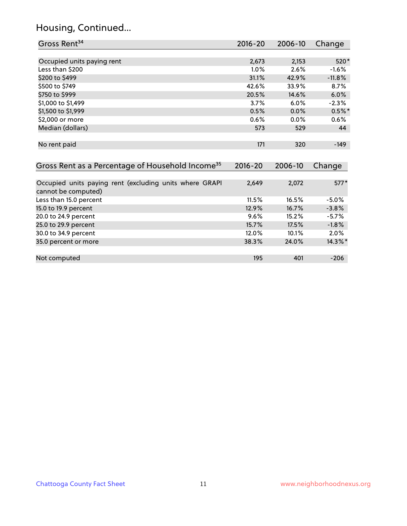# Housing, Continued...

| Gross Rent <sup>34</sup>                                                       | 2016-20     | 2006-10 | Change   |
|--------------------------------------------------------------------------------|-------------|---------|----------|
|                                                                                |             |         |          |
| Occupied units paying rent                                                     | 2,673       | 2,153   | 520*     |
| Less than \$200                                                                | 1.0%        | 2.6%    | $-1.6%$  |
| \$200 to \$499                                                                 | 31.1%       | 42.9%   | $-11.8%$ |
| \$500 to \$749                                                                 | 42.6%       | 33.9%   | 8.7%     |
| \$750 to \$999                                                                 | 20.5%       | 14.6%   | 6.0%     |
| \$1,000 to \$1,499                                                             | 3.7%        | 6.0%    | $-2.3%$  |
| \$1,500 to \$1,999                                                             | 0.5%        | 0.0%    | $0.5%$ * |
| \$2,000 or more                                                                | 0.6%        | 0.0%    | 0.6%     |
| Median (dollars)                                                               | 573         | 529     | 44       |
| No rent paid                                                                   | 171         | 320     | $-149$   |
| Gross Rent as a Percentage of Household Income <sup>35</sup>                   | $2016 - 20$ | 2006-10 | Change   |
|                                                                                |             |         |          |
| Occupied units paying rent (excluding units where GRAPI<br>cannot be computed) | 2,649       | 2,072   | $577*$   |
| Less than 15.0 percent                                                         | 11.5%       | 16.5%   | $-5.0%$  |
| 15.0 to 19.9 percent                                                           | 12.9%       | 16.7%   | $-3.8%$  |
| 20.0 to 24.9 percent                                                           | 9.6%        | 15.2%   | $-5.7%$  |
| 25.0 to 29.9 percent                                                           | 15.7%       | 17.5%   | $-1.8%$  |
| 30.0 to 34.9 percent                                                           | 12.0%       | 10.1%   | 2.0%     |
| 35.0 percent or more                                                           | 38.3%       | 24.0%   | 14.3%*   |
|                                                                                |             |         |          |
| Not computed                                                                   | 195         | 401     | $-206$   |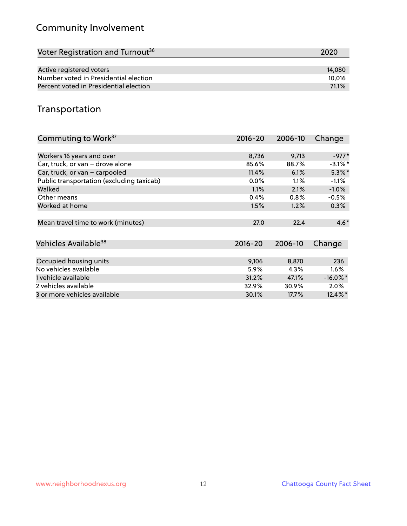# Community Involvement

| Voter Registration and Turnout <sup>36</sup> | 2020   |
|----------------------------------------------|--------|
|                                              |        |
| Active registered voters                     | 14,080 |
| Number voted in Presidential election        | 10.016 |
| Percent voted in Presidential election       | 71.1%  |

## Transportation

| Commuting to Work <sup>37</sup>           | 2016-20     | 2006-10 | Change      |
|-------------------------------------------|-------------|---------|-------------|
|                                           |             |         |             |
| Workers 16 years and over                 | 8,736       | 9,713   | $-977*$     |
| Car, truck, or van - drove alone          | 85.6%       | 88.7%   | $-3.1\%$ *  |
| Car, truck, or van - carpooled            | 11.4%       | 6.1%    | $5.3\%$ *   |
| Public transportation (excluding taxicab) | $0.0\%$     | $1.1\%$ | $-1.1%$     |
| Walked                                    | 1.1%        | 2.1%    | $-1.0%$     |
| Other means                               | 0.4%        | 0.8%    | $-0.5%$     |
| Worked at home                            | 1.5%        | 1.2%    | 0.3%        |
|                                           |             |         |             |
| Mean travel time to work (minutes)        | 27.0        | 22.4    | $4.6*$      |
|                                           |             |         |             |
| Vehicles Available <sup>38</sup>          | $2016 - 20$ | 2006-10 | Change      |
|                                           |             |         |             |
| Occupied housing units                    | 9,106       | 8,870   | 236         |
| No vehicles available                     | 5.9%        | 4.3%    | $1.6\%$     |
| 1 vehicle available                       | 31.2%       | 47.1%   | $-16.0\%$ * |
| 2 vehicles available                      | 32.9%       | 30.9%   | $2.0\%$     |
| 3 or more vehicles available              | 30.1%       | 17.7%   | $12.4\%$ *  |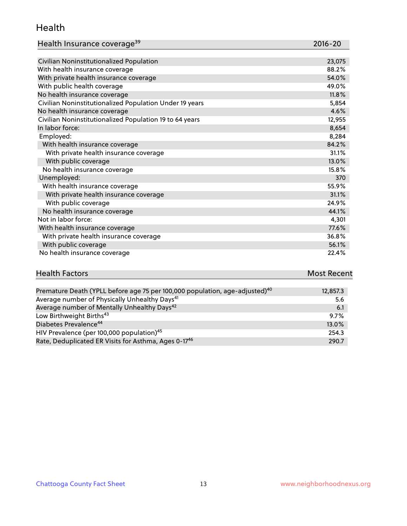#### Health

| Health Insurance coverage <sup>39</sup> | 2016-20 |
|-----------------------------------------|---------|
|-----------------------------------------|---------|

| Civilian Noninstitutionalized Population                | 23,075 |
|---------------------------------------------------------|--------|
| With health insurance coverage                          | 88.2%  |
| With private health insurance coverage                  | 54.0%  |
| With public health coverage                             | 49.0%  |
| No health insurance coverage                            | 11.8%  |
| Civilian Noninstitutionalized Population Under 19 years | 5,854  |
| No health insurance coverage                            | 4.6%   |
| Civilian Noninstitutionalized Population 19 to 64 years | 12,955 |
| In labor force:                                         | 8,654  |
| Employed:                                               | 8,284  |
| With health insurance coverage                          | 84.2%  |
| With private health insurance coverage                  | 31.1%  |
| With public coverage                                    | 13.0%  |
| No health insurance coverage                            | 15.8%  |
| Unemployed:                                             | 370    |
| With health insurance coverage                          | 55.9%  |
| With private health insurance coverage                  | 31.1%  |
| With public coverage                                    | 24.9%  |
| No health insurance coverage                            | 44.1%  |
| Not in labor force:                                     | 4,301  |
| With health insurance coverage                          | 77.6%  |
| With private health insurance coverage                  | 36.8%  |
| With public coverage                                    | 56.1%  |
| No health insurance coverage                            | 22.4%  |

| <b>Health Factors</b> | <b>Most Recent</b> |
|-----------------------|--------------------|
|                       |                    |

| Premature Death (YPLL before age 75 per 100,000 population, age-adjusted) <sup>40</sup> | 12,857.3 |
|-----------------------------------------------------------------------------------------|----------|
| Average number of Physically Unhealthy Days <sup>41</sup>                               | 5.6      |
| Average number of Mentally Unhealthy Days <sup>42</sup>                                 | 6.1      |
| Low Birthweight Births <sup>43</sup>                                                    | 9.7%     |
| Diabetes Prevalence <sup>44</sup>                                                       | 13.0%    |
| HIV Prevalence (per 100,000 population) <sup>45</sup>                                   | 254.3    |
| Rate, Deduplicated ER Visits for Asthma, Ages 0-17 <sup>46</sup>                        | 290.7    |